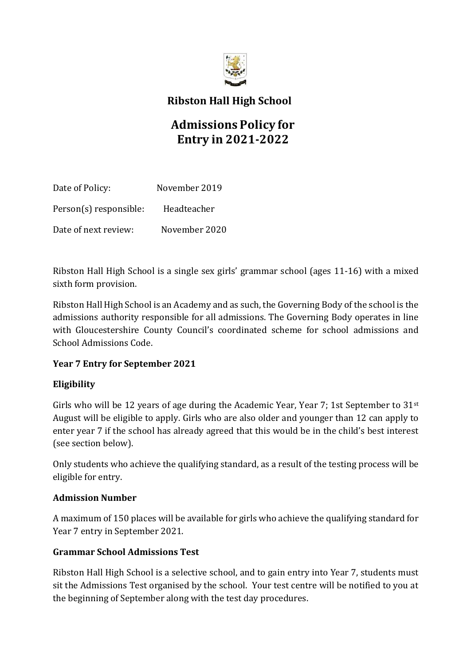

# **Ribston Hall High School**

# **Admissions Policy for Entry in 2021-2022**

| Date of Policy:        | November 2019 |
|------------------------|---------------|
| Person(s) responsible: | Headteacher   |
| Date of next review:   | November 2020 |

Ribston Hall High School is a single sex girls' grammar school (ages 11-16) with a mixed sixth form provision.

Ribston Hall High School is an Academy and as such, the Governing Body of the school is the admissions authority responsible for all admissions. The Governing Body operates in line with Gloucestershire County Council's coordinated scheme for school admissions and School Admissions Code.

#### **Year 7 Entry for September 2021**

### **Eligibility**

Girls who will be 12 years of age during the Academic Year, Year 7; 1st September to  $31<sup>st</sup>$ August will be eligible to apply. Girls who are also older and younger than 12 can apply to enter year 7 if the school has already agreed that this would be in the child's best interest (see section below).

Only students who achieve the qualifying standard, as a result of the testing process will be eligible for entry.

#### **Admission Number**

A maximum of 150 places will be available for girls who achieve the qualifying standard for Year 7 entry in September 2021.

#### **Grammar School Admissions Test**

Ribston Hall High School is a selective school, and to gain entry into Year 7, students must sit the Admissions Test organised by the school. Your test centre will be notified to you at the beginning of September along with the test day procedures.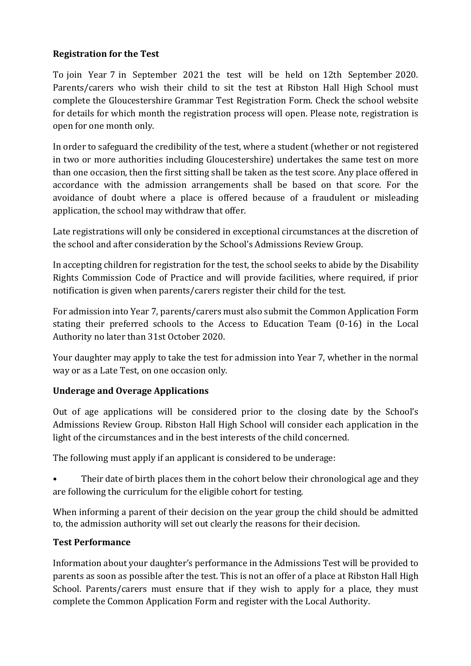#### **Registration for the Test**

To join Year 7 in September 2021 the test will be held on 12th September 2020. Parents/carers who wish their child to sit the test at Ribston Hall High School must complete the Gloucestershire Grammar Test Registration Form. Check the school website for details for which month the registration process will open. Please note, registration is open for one month only.

In order to safeguard the credibility of the test, where a student (whether or not registered in two or more authorities including Gloucestershire) undertakes the same test on more than one occasion, then the first sitting shall be taken as the test score. Any place offered in accordance with the admission arrangements shall be based on that score. For the avoidance of doubt where a place is offered because of a fraudulent or misleading application, the school may withdraw that offer.

Late registrations will only be considered in exceptional circumstances at the discretion of the school and after consideration by the School's Admissions Review Group.

In accepting children for registration for the test, the school seeks to abide by the Disability Rights Commission Code of Practice and will provide facilities, where required, if prior notification is given when parents/carers register their child for the test.

For admission into Year 7, parents/carers must also submit the Common Application Form stating their preferred schools to the Access to Education Team (0-16) in the Local Authority no later than 31st October 2020.

Your daughter may apply to take the test for admission into Year 7, whether in the normal way or as a Late Test, on one occasion only.

#### **Underage and Overage Applications**

Out of age applications will be considered prior to the closing date by the School's Admissions Review Group. Ribston Hall High School will consider each application in the light of the circumstances and in the best interests of the child concerned.

The following must apply if an applicant is considered to be underage:

• Their date of birth places them in the cohort below their chronological age and they are following the curriculum for the eligible cohort for testing.

When informing a parent of their decision on the year group the child should be admitted to, the admission authority will set out clearly the reasons for their decision.

#### **Test Performance**

Information about your daughter's performance in the Admissions Test will be provided to parents as soon as possible after the test. This is not an offer of a place at Ribston Hall High School. Parents/carers must ensure that if they wish to apply for a place, they must complete the Common Application Form and register with the Local Authority.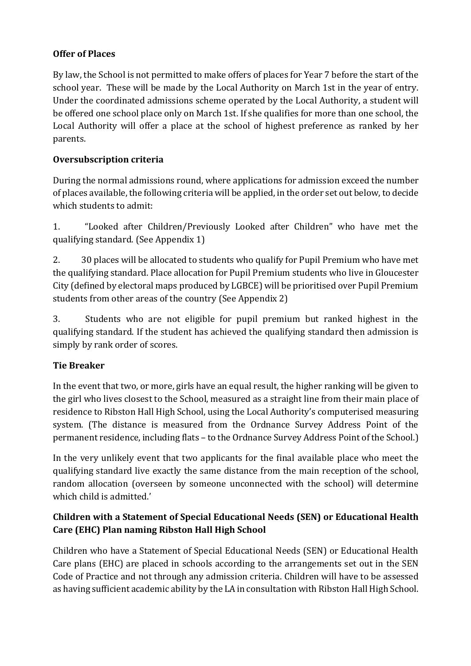### **Offer of Places**

By law, the School is not permitted to make offers of places for Year 7 before the start of the school year. These will be made by the Local Authority on March 1st in the year of entry. Under the coordinated admissions scheme operated by the Local Authority, a student will be offered one school place only on March 1st. If she qualifies for more than one school, the Local Authority will offer a place at the school of highest preference as ranked by her parents.

### **Oversubscription criteria**

During the normal admissions round, where applications for admission exceed the number of places available, the following criteria will be applied, in the order set out below, to decide which students to admit:

1. "Looked after Children/Previously Looked after Children" who have met the qualifying standard. (See Appendix 1)

2. 30 places will be allocated to students who qualify for Pupil Premium who have met the qualifying standard. Place allocation for Pupil Premium students who live in Gloucester City (defined by electoral maps produced by LGBCE) will be prioritised over Pupil Premium students from other areas of the country (See Appendix 2)

3. Students who are not eligible for pupil premium but ranked highest in the qualifying standard. If the student has achieved the qualifying standard then admission is simply by rank order of scores.

### **Tie Breaker**

In the event that two, or more, girls have an equal result, the higher ranking will be given to the girl who lives closest to the School, measured as a straight line from their main place of residence to Ribston Hall High School, using the Local Authority's computerised measuring system. (The distance is measured from the Ordnance Survey Address Point of the permanent residence, including flats – to the Ordnance Survey Address Point of the School.)

In the very unlikely event that two applicants for the final available place who meet the qualifying standard live exactly the same distance from the main reception of the school, random allocation (overseen by someone unconnected with the school) will determine which child is admitted.'

# **Children with a Statement of Special Educational Needs (SEN) or Educational Health Care (EHC) Plan naming Ribston Hall High School**

Children who have a Statement of Special Educational Needs (SEN) or Educational Health Care plans (EHC) are placed in schools according to the arrangements set out in the SEN Code of Practice and not through any admission criteria. Children will have to be assessed as having sufficient academic ability by the LA in consultation with Ribston Hall High School.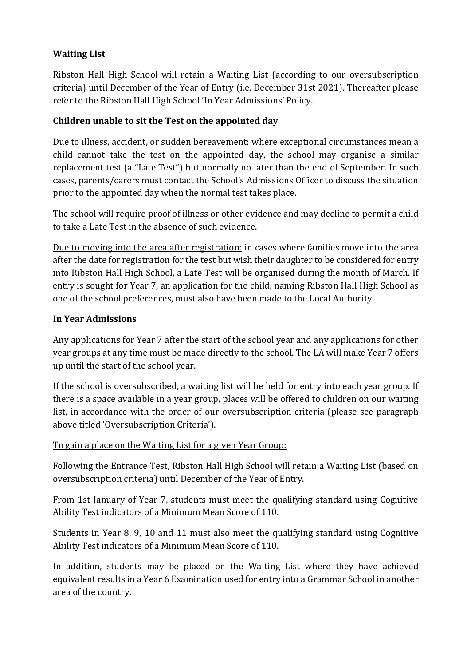### **Waiting List**

Ribston Hall High School will retain a Waiting List (according to our oversubscription criteria) until December of the Year of Entry (i.e. December 31st 2021). Thereafter please refer to the Ribston Hall High School 'In Year Admissions' Policy.

### **Children unable to sit the Test on the appointed day**

Due to illness, accident, or sudden bereavement: where exceptional circumstances mean a child cannot take the test on the appointed day, the school may organise a similar replacement test (a "Late Test") but normally no later than the end of September. In such cases, parents/carers must contact the School's Admissions Officer to discuss the situation prior to the appointed day when the normal test takes place.

The school will require proof of illness or other evidence and may decline to permit a child to take a Late Test in the absence of such evidence.

Due to moving into the area after registration: in cases where families move into the area after the date for registration for the test but wish their daughter to be considered for entry into Ribston Hall High School, a Late Test will be organised during the month of March. If entry is sought for Year 7, an application for the child, naming Ribston Hall High School as one of the school preferences, must also have been made to the Local Authority.

#### **In Year Admissions**

Any applications for Year 7 after the start of the school year and any applications for other year groups at any time must be made directly to the school. The LA will make Year 7 offers up until the start of the school year.

If the school is oversubscribed, a waiting list will be held for entry into each year group. If there is a space available in a year group, places will be offered to children on our waiting list, in accordance with the order of our oversubscription criteria (please see paragraph above titled 'Oversubscription Criteria').

### To gain a place on the Waiting List for a given Year Group:

Following the Entrance Test, Ribston Hall High School will retain a Waiting List (based on oversubscription criteria) until December of the Year of Entry.

From 1st January of Year 7, students must meet the qualifying standard using Cognitive Ability Test indicators of a Minimum Mean Score of 110.

Students in Year 8, 9, 10 and 11 must also meet the qualifying standard using Cognitive Ability Test indicators of a Minimum Mean Score of 110.

In addition, students may be placed on the Waiting List where they have achieved equivalent results in a Year 6 Examination used for entry into a Grammar School in another area of the country.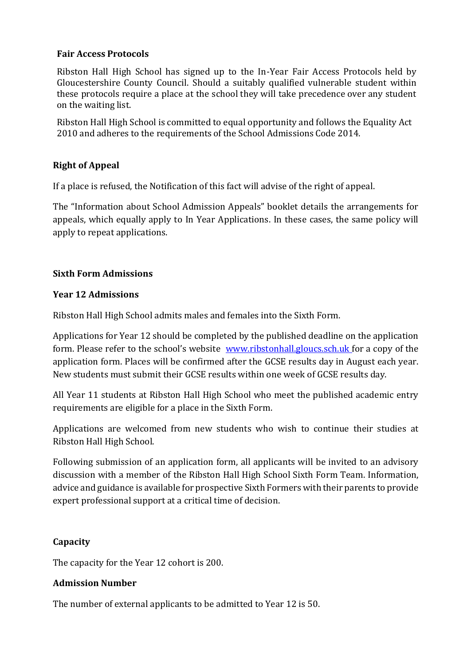#### **Fair Access Protocols**

Ribston Hall High School has signed up to the In-Year Fair Access Protocols held by Gloucestershire County Council. Should a suitably qualified vulnerable student within these protocols require a place at the school they will take precedence over any student on the waiting list.

Ribston Hall High School is committed to equal opportunity and follows the Equality Act 2010 and adheres to the requirements of the School Admissions Code 2014.

#### **Right of Appeal**

If a place is refused, the Notification of this fact will advise of the right of appeal.

The "Information about School Admission Appeals" booklet details the arrangements for appeals, which equally apply to In Year Applications. In these cases, the same policy will apply to repeat applications.

#### **Sixth Form Admissions**

#### **Year 12 Admissions**

Ribston Hall High School admits males and females into the Sixth Form.

Applications for Year 12 should be completed by the published deadline on the application form. Please refer to the school's website [www.ribstonhall.gloucs.sch.uk f](http://www.ribstonhall.gloucs.sch.uk/)or a copy of the application form. Places will be confirmed after the GCSE results day in August each year. New students must submit their GCSE results within one week of GCSE results day.

All Year 11 students at Ribston Hall High School who meet the published academic entry requirements are eligible for a place in the Sixth Form.

Applications are welcomed from new students who wish to continue their studies at Ribston Hall High School.

Following submission of an application form, all applicants will be invited to an advisory discussion with a member of the Ribston Hall High School Sixth Form Team. Information, advice and guidance is available for prospective Sixth Formers with their parents to provide expert professional support at a critical time of decision.

#### **Capacity**

The capacity for the Year 12 cohort is 200.

#### **Admission Number**

The number of external applicants to be admitted to Year 12 is 50.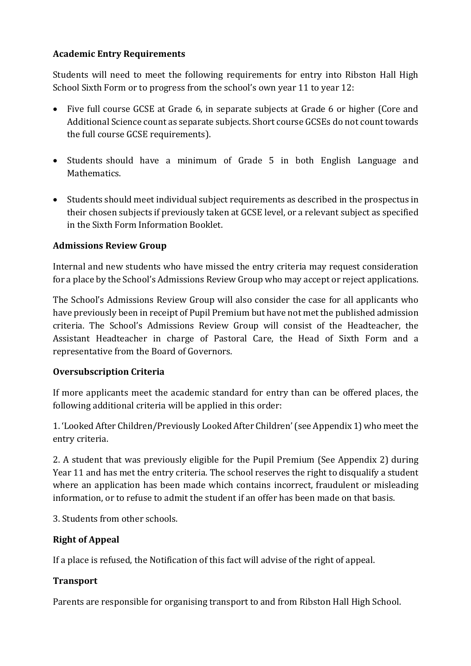### **Academic Entry Requirements**

Students will need to meet the following requirements for entry into Ribston Hall High School Sixth Form or to progress from the school's own year 11 to year 12:

- Five full course GCSE at Grade 6, in separate subjects at Grade 6 or higher (Core and Additional Science count as separate subjects. Short course GCSEs do not count towards the full course GCSE requirements).
- Students should have a minimum of Grade 5 in both English Language and Mathematics.
- Students should meet individual subject requirements as described in the prospectus in their chosen subjects if previously taken at GCSE level, or a relevant subject as specified in the Sixth Form Information Booklet.

### **Admissions Review Group**

Internal and new students who have missed the entry criteria may request consideration for a place by the School's Admissions Review Group who may accept or reject applications.

The School's Admissions Review Group will also consider the case for all applicants who have previously been in receipt of Pupil Premium but have not met the published admission criteria. The School's Admissions Review Group will consist of the Headteacher, the Assistant Headteacher in charge of Pastoral Care, the Head of Sixth Form and a representative from the Board of Governors.

#### **Oversubscription Criteria**

If more applicants meet the academic standard for entry than can be offered places, the following additional criteria will be applied in this order:

1. 'Looked After Children/Previously Looked After Children' (see Appendix 1) who meet the entry criteria.

2. A student that was previously eligible for the Pupil Premium (See Appendix 2) during Year 11 and has met the entry criteria. The school reserves the right to disqualify a student where an application has been made which contains incorrect, fraudulent or misleading information, or to refuse to admit the student if an offer has been made on that basis.

3. Students from other schools.

### **Right of Appeal**

If a place is refused, the Notification of this fact will advise of the right of appeal.

### **Transport**

Parents are responsible for organising transport to and from Ribston Hall High School.